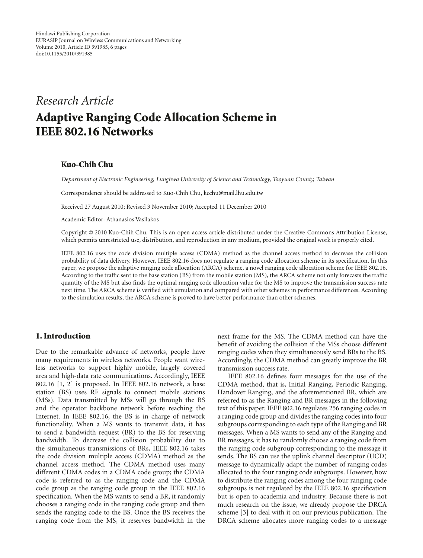Hindawi Publishing Corporation EURASIP Journal on Wireless Communications and Networking Volume 2010, Article ID 391985, 6 pages doi:10.1155/2010/391985

# *Research Article*

# **Adaptive Ranging Code Allocation Scheme in IEEE 802.16 Networks**

# **Kuo-Chih Chu**

*Department of Electronic Engineering, Lunghwa University of Science and Technology, Taoyuan County, Taiwan*

Correspondence should be addressed to Kuo-Chih Chu, kcchu@mail.lhu.edu.tw

Received 27 August 2010; Revised 3 November 2010; Accepted 11 December 2010

Academic Editor: Athanasios Vasilakos

Copyright © 2010 Kuo-Chih Chu. This is an open access article distributed under the Creative Commons Attribution License, which permits unrestricted use, distribution, and reproduction in any medium, provided the original work is properly cited.

IEEE 802.16 uses the code division multiple access (CDMA) method as the channel access method to decrease the collision probability of data delivery. However, IEEE 802.16 does not regulate a ranging code allocation scheme in its specification. In this paper, we propose the adaptive ranging code allocation (ARCA) scheme, a novel ranging code allocation scheme for IEEE 802.16. According to the traffic sent to the base station (BS) from the mobile station (MS), the ARCA scheme not only forecasts the traffic quantity of the MS but also finds the optimal ranging code allocation value for the MS to improve the transmission success rate next time. The ARCA scheme is verified with simulation and compared with other schemes in performance differences. According to the simulation results, the ARCA scheme is proved to have better performance than other schemes.

## **1. Introduction**

Due to the remarkable advance of networks, people have many requirements in wireless networks. People want wireless networks to support highly mobile, largely covered area and high-data rate communications. Accordingly, IEEE 802.16 [1, 2] is proposed. In IEEE 802.16 network, a base station (BS) uses RF signals to connect mobile stations (MSs). Data transmitted by MSs will go through the BS and the operator backbone network before reaching the Internet. In IEEE 802.16, the BS is in charge of network functionality. When a MS wants to transmit data, it has to send a bandwidth request (BR) to the BS for reserving bandwidth. To decrease the collision probability due to the simultaneous transmissions of BRs, IEEE 802.16 takes the code division multiple access (CDMA) method as the channel access method. The CDMA method uses many different CDMA codes in a CDMA code group; the CDMA code is referred to as the ranging code and the CDMA code group as the ranging code group in the IEEE 802.16 specification. When the MS wants to send a BR, it randomly chooses a ranging code in the ranging code group and then sends the ranging code to the BS. Once the BS receives the ranging code from the MS, it reserves bandwidth in the next frame for the MS. The CDMA method can have the benefit of avoiding the collision if the MSs choose different ranging codes when they simultaneously send BRs to the BS. Accordingly, the CDMA method can greatly improve the BR transmission success rate.

IEEE 802.16 defines four messages for the use of the CDMA method, that is, Initial Ranging, Periodic Ranging, Handover Ranging, and the aforementioned BR, which are referred to as the Ranging and BR messages in the following text of this paper. IEEE 802.16 regulates 256 ranging codes in a ranging code group and divides the ranging codes into four subgroups corresponding to each type of the Ranging and BR messages. When a MS wants to send any of the Ranging and BR messages, it has to randomly choose a ranging code from the ranging code subgroup corresponding to the message it sends. The BS can use the uplink channel descriptor (UCD) message to dynamically adapt the number of ranging codes allocated to the four ranging code subgroups. However, how to distribute the ranging codes among the four ranging code subgroups is not regulated by the IEEE 802.16 specification but is open to academia and industry. Because there is not much research on the issue, we already propose the DRCA scheme [3] to deal with it on our previous publication. The DRCA scheme allocates more ranging codes to a message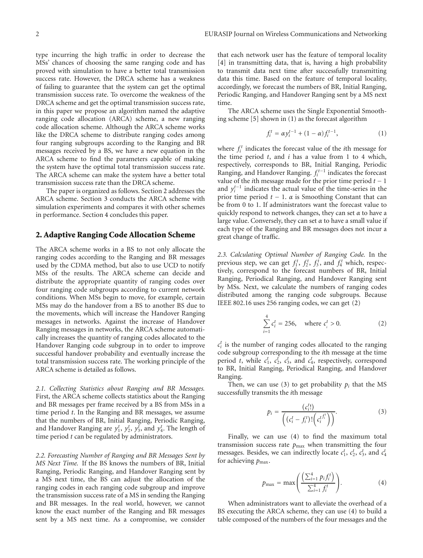type incurring the high traffic in order to decrease the MSs' chances of choosing the same ranging code and has proved with simulation to have a better total transmission success rate. However, the DRCA scheme has a weakness of failing to guarantee that the system can get the optimal transmission success rate. To overcome the weakness of the DRCA scheme and get the optimal transmission success rate, in this paper we propose an algorithm named the adaptive ranging code allocation (ARCA) scheme, a new ranging code allocation scheme. Although the ARCA scheme works like the DRCA scheme to distribute ranging codes among four ranging subgroups according to the Ranging and BR messages received by a BS, we have a new equation in the ARCA scheme to find the parameters capable of making the system have the optimal total transmission success rate. The ARCA scheme can make the system have a better total transmission success rate than the DRCA scheme.

The paper is organized as follows. Section 2 addresses the ARCA scheme. Section 3 conducts the ARCA scheme with simulation experiments and compares it with other schemes in performance. Section 4 concludes this paper.

#### **2. Adaptive Ranging Code Allocation Scheme**

The ARCA scheme works in a BS to not only allocate the ranging codes according to the Ranging and BR messages used by the CDMA method, but also to use UCD to notify MSs of the results. The ARCA scheme can decide and distribute the appropriate quantity of ranging codes over four ranging code subgroups according to current network conditions. When MSs begin to move, for example, certain MSs may do the handover from a BS to another BS due to the movements, which will increase the Handover Ranging messages in networks. Against the increase of Handover Ranging messages in networks, the ARCA scheme automatically increases the quantity of ranging codes allocated to the Handover Ranging code subgroup in to order to improve successful handover probability and eventually increase the total transmission success rate. The working principle of the ARCA scheme is detailed as follows.

*2.1. Collecting Statistics about Ranging and BR Messages.* First, the ARCA scheme collects statistics about the Ranging and BR messages per frame received by a BS from MSs in a time period *t*. In the Ranging and BR messages, we assume that the numbers of BR, Initial Ranging, Periodic Ranging, and Handover Ranging are  $y_1^t$ ,  $y_2^t$ ,  $y_3^t$ , and  $y_4^t$ . The length of time period *t* can be regulated by administrators.

*2.2. Forecasting Number of Ranging and BR Messages Sent by MS Next Time.* If the BS knows the numbers of BR, Initial Ranging, Periodic Ranging, and Handover Ranging sent by a MS next time, the BS can adjust the allocation of the ranging codes in each ranging code subgroup and improve the transmission success rate of a MS in sending the Ranging and BR messages. In the real world, however, we cannot know the exact number of the Ranging and BR messages sent by a MS next time. As a compromise, we consider

that each network user has the feature of temporal locality [4] in transmitting data, that is, having a high probability to transmit data next time after successfully transmitting data this time. Based on the feature of temporal locality, accordingly, we forecast the numbers of BR, Initial Ranging, Periodic Ranging, and Handover Ranging sent by a MS next time.

The ARCA scheme uses the Single Exponential Smoothing scheme [5] shown in (1) as the forecast algorithm

$$
f_i^t = \alpha y_i^{t-1} + (1 - \alpha) f_i^{t-1}, \tag{1}
$$

where  $f_i^t$  indicates the forecast value of the *i*th message for the time period *t*, and *i* has a value from 1 to 4 which, respectively, corresponds to BR, Initial Ranging, Periodic Ranging, and Handover Ranging.  $f_i^{t-1}$  indicates the forecast value of the *<sup>i</sup>*th message made for the prior time period *<sup>t</sup> <sup>−</sup>* <sup>1</sup> and  $y_i^{t-1}$  indicates the actual value of the time-series in the prior time period  $t - 1$ .  $\alpha$  is Smoothing Constant that can be from 0 to 1. If administrators want the forecast value to quickly respond to network changes, they can set *α* to have a large value. Conversely, they can set *α* to have a small value if each type of the Ranging and BR messages does not incur a great change of traffic.

*2.3. Calculating Optimal Number of Ranging Code.* In the previous step, we can get  $f_1^t$ ,  $f_2^t$ ,  $f_3^t$ , and  $f_4^t$  which, respectively, correspond to the forecast numbers of BR, Initial Ranging, Periodical Ranging, and Handover Ranging sent by MSs. Next, we calculate the numbers of ranging codes distributed among the ranging code subgroups. Because IEEE 802.16 uses 256 ranging codes, we can get (2)

$$
\sum_{i=1}^{4} c_i^t = 256, \quad \text{where } c_i^t > 0.
$$
 (2)

 $c_i^t$  is the number of ranging codes allocated to the ranging code subgroup corresponding to the *i*th message at the time period *t*, while  $c_1^t$ ,  $c_2^t$ ,  $c_3^t$ , and  $c_4^t$ , respectively, correspond to BR, Initial Ranging, Periodical Ranging, and Handover Ranging.

Then, we can use (3) to get probability  $p_i$  that the MS successfully transmits the *i*th message

$$
p_i = \frac{(c_i^t!)}{\left( (c_i^t - f_i^t)! \left( c_i^{t} \right)^t \right)}.
$$
 (3)

Finally, we can use (4) to find the maximum total transmission success rate  $p_{\text{max}}$  when transmitting the four messages. Besides, we can indirectly locate  $c_1^t$ ,  $c_2^t$ ,  $c_3^t$ , and  $c_4^t$ for achieving  $p_{\text{max}}$ .

$$
p_{\max} = \max\left(\frac{\left(\sum_{i=1}^{4} p_i f_i^t\right)}{\sum_{i=1}^{4} f_i^t}\right).
$$
 (4)

When administrators want to alleviate the overhead of a BS executing the ARCA scheme, they can use (4) to build a table composed of the numbers of the four messages and the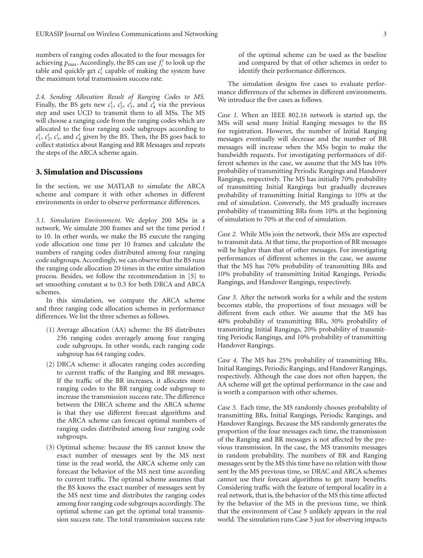numbers of ranging codes allocated to the four messages for achieving  $p_{\text{max}}$ . Accordingly, the BS can use  $f_i^t$  to look up the table and quickly get  $c_i^t$  capable of making the system have the maximum total transmission success rate.

*2.4. Sending Allocation Result of Ranging Codes to MS.* Finally, the BS gets new  $c_1^t$ ,  $c_2^t$ ,  $c_3^t$ , and  $c_4^t$  via the previous step and uses UCD to transmit them to all MSs. The MS will choose a ranging code from the ranging codes which are allocated to the four ranging code subgroups according to  $c_1^t$ ,  $c_2^t$ ,  $c_3^t$ , and  $c_4^t$  given by the BS. Then, the BS goes back to collect statistics about Ranging and BR Messages and repeats the steps of the ARCA scheme again.

### **3. Simulation and Discussions**

In the section, we use MATLAB to simulate the ARCA scheme and compare it with other schemes in different environments in order to observe performance differences.

*3.1. Simulation Environment.* We deploy 200 MSs in a network. We simulate 200 frames and set the time period *t* to 10. In other words, we make the BS execute the ranging code allocation one time per 10 frames and calculate the numbers of ranging codes distributed among four ranging code subgroups. Accordingly, we can observe that the BS runs the ranging code allocation 20 times in the entire simulation process. Besides, we follow the recommendation in [5] to set smoothing constant *α* to 0.3 for both DRCA and ARCA schemes.

In this simulation, we compare the ARCA scheme and three ranging code allocation schemes in performance differences. We list the three schemes as follows.

- (1) Average allocation (AA) scheme: the BS distributes 256 ranging codes averagely among four ranging code subgroups. In other words, each ranging code subgroup has 64 ranging codes.
- (2) DRCA scheme: it allocates ranging codes according to current traffic of the Ranging and BR messages. If the traffic of the BR increases, it allocates more ranging codes to the BR ranging code subgroup to increase the transmission success rate. The difference between the DRCA scheme and the ARCA scheme is that they use different forecast algorithms and the ARCA scheme can forecast optimal numbers of ranging codes distributed among four ranging code subgroups.
- (3) Optimal scheme: because the BS cannot know the exact number of messages sent by the MS next time in the read world, the ARCA scheme only can forecast the behavior of the MS next time according to current traffic. The optimal scheme assumes that the BS knows the exact number of messages sent by the MS next time and distributes the ranging codes among four ranging code subgroups accordingly. The optimal scheme can get the optimal total transmission success rate. The total transmission success rate

of the optimal scheme can be used as the baseline and compared by that of other schemes in order to identify their performance differences.

The simulation designs five cases to evaluate performance differences of the schemes in different environments. We introduce the five cases as follows.

*Case 1.* When an IEEE 802.16 network is started up, the MSs will send many Initial Ranging messages to the BS for registration. However, the number of Initial Ranging messages eventually will decrease and the number of BR messages will increase when the MSs begin to make the bandwidth requests. For investigating performances of different schemes in the case, we assume that the MS has 10% probability of transmitting Periodic Rangings and Handover Rangings, respectively. The MS has initially 70% probability of transmitting Initial Rangings but gradually decreases probability of transmitting Initial Rangings to 10% at the end of simulation. Conversely, the MS gradually increases probability of transmitting BRs from 10% at the beginning of simulation to 70% at the end of simulation.

*Case 2.* While MSs join the network, their MSs are expected to transmit data. At that time, the proportion of BR messages will be higher than that of other messages. For investigating performances of different schemes in the case, we assume that the MS has 70% probability of transmitting BRs and 10% probability of transmitting Initial Rangings, Periodic Rangings, and Handover Rangings, respectively.

*Case 3.* After the network works for a while and the system becomes stable, the proportions of four messages will be different from each other. We assume that the MS has 40% probability of transmitting BRs, 30% probability of transmitting Initial Rangings, 20% probability of transmitting Periodic Rangings, and 10% probability of transmitting Handover Rangings.

*Case 4.* The MS has 25% probability of transmitting BRs, Initial Rangings, Periodic Rangings, and Handover Rangings, respectively. Although the case does not often happen, the AA scheme will get the optimal performance in the case and is worth a comparison with other schemes.

*Case 5.* Each time, the MS randomly chooses probability of transmitting BRs, Initial Rangings, Periodic Rangings, and Handover Rangings. Because the MS randomly generates the proportion of the four messages each time, the transmission of the Ranging and BR messages is not affected by the previous transmission. In the case, the MS transmits messages in random probability. The numbers of BR and Ranging messages sent by the MS this time have no relation with those sent by the MS previous time, so DRAC and ARCA schemes cannot use their forecast algorithms to get many benefits. Considering traffic with the feature of temporal locality in a real network, that is, the behavior of the MS this time affected by the behavior of the MS in the previous time, we think that the environment of Case 5 unlikely appears in the real world. The simulation runs Case 5 just for observing impacts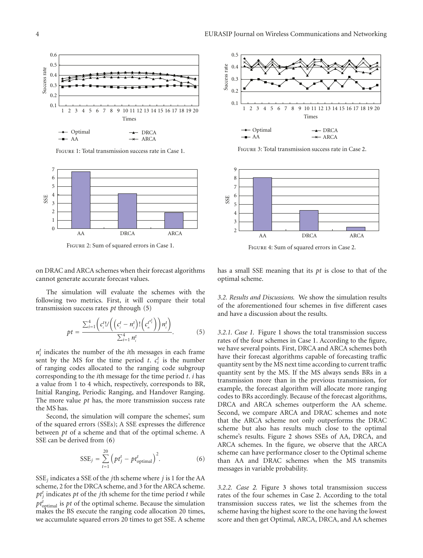

Figure 1: Total transmission success rate in Case 1.



Figure 2: Sum of squared errors in Case 1.

on DRAC and ARCA schemes when their forecast algorithms cannot generate accurate forecast values.

The simulation will evaluate the schemes with the following two metrics. First, it will compare their total transmission success rates *pt* through (5)

$$
pt = \frac{\sum_{i=1}^{4} \left( c_i^{t}! / \left( \left( c_i^{t} - n_i^{t} \right)! \left( c_n^{t^{n_i^{t}}} \right) \right) n_i^{t} \right)}{\sum_{i=1}^{4} n_i^{t}}.
$$
 (5)

 $n_i^t$  indicates the number of the *i*th messages in each frame sent by the MS for the time period *t*.  $c_i^t$  is the number of ranging codes allocated to the ranging code subgroup corresponding to the *i*th message for the time period *t*. *i* has a value from 1 to 4 which, respectively, corresponds to BR, Initial Ranging, Periodic Ranging, and Handover Ranging. The more value *pt* has, the more transmission success rate the MS has.

Second, the simulation will compare the schemes', sum of the squared errors (SSEs); A SSE expresses the difference between *pt* of a scheme and that of the optimal scheme. A SSE can be derived from (6)

$$
SSE_j = \sum_{t=1}^{20} \left( pt_j^t - pt_{\text{optimal}}^t \right)^2.
$$
 (6)

SSE*<sup>j</sup>* indicates a SSE of the *j*th scheme where *j* is 1 for the AA scheme, 2 for the DRCA scheme, and 3 for the ARCA scheme.  $pt_j^t$  indicates  $pt$  of the *j*th scheme for the time period  $t$  while  $pt_{\text{optimal}}^t$  is  $pt$  of the optimal scheme. Because the simulation makes the BS execute the ranging code allocation 20 times, we accumulate squared errors 20 times to get SSE. A scheme



Figure 3: Total transmission success rate in Case 2.



Figure 4: Sum of squared errors in Case 2.

has a small SSE meaning that its *pt* is close to that of the optimal scheme.

*3.2. Results and Discussions.* We show the simulation results of the aforementioned four schemes in five different cases and have a discussion about the results.

*3.2.1. Case 1.* Figure 1 shows the total transmission success rates of the four schemes in Case 1. According to the figure, we have several points. First, DRCA and ARCA schemes both have their forecast algorithms capable of forecasting traffic quantity sent by the MS next time according to current traffic quantity sent by the MS. If the MS always sends BRs in a transmission more than in the previous transmission, for example, the forecast algorithm will allocate more ranging codes to BRs accordingly. Because of the forecast algorithms, DRCA and ARCA schemes outperform the AA scheme. Second, we compare ARCA and DRAC schemes and note that the ARCA scheme not only outperforms the DRAC scheme but also has results much close to the optimal scheme's results. Figure 2 shows SSEs of AA, DRCA, and ARCA schemes. In the figure, we observe that the ARCA scheme can have performance closer to the Optimal scheme than AA and DRAC schemes when the MS transmits messages in variable probability.

*3.2.2. Case 2.* Figure 3 shows total transmission success rates of the four schemes in Case 2. According to the total transmission success rates, we list the schemes from the scheme having the highest score to the one having the lowest score and then get Optimal, ARCA, DRCA, and AA schemes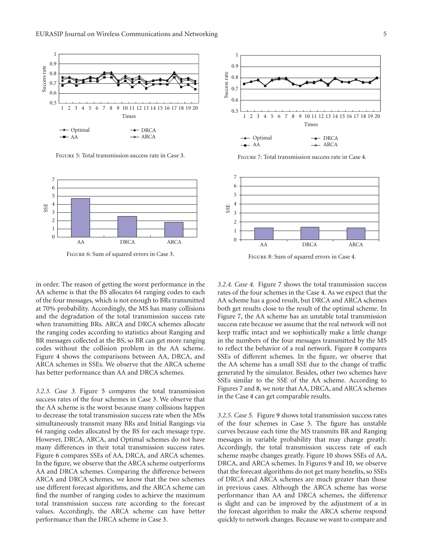

Figure 5: Total transmission success rate in Case 3.



FIGURE 6: Sum of squared errors in Case 3.



Figure 7: Total transmission success rate in Case 4.



Figure 8: Sum of squared errors in Case 4.

in order. The reason of getting the worst performance in the AA scheme is that the BS allocates 64 ranging codes to each of the four messages, which is not enough to BRs transmitted at 70% probability. Accordingly, the MS has many collisions and the degradation of the total transmission success rate when transmitting BRs. ARCA and DRCA schemes allocate the ranging codes according to statistics about Ranging and BR messages collected at the BS, so BR can get more ranging codes without the collision problem in the AA scheme. Figure 4 shows the comparisons between AA, DRCA, and ARCA schemes in SSEs. We observe that the ARCA scheme has better performance than AA and DRCA schemes.

*3.2.3. Case 3.* Figure 5 compares the total transmission success rates of the four schemes in Case 3. We observe that the AA scheme is the worst because many collisions happen to decrease the total transmission success rate when the MSs simultaneously transmit many BRs and Initial Rangings via 64 ranging codes allocated by the BS for each message type. However, DRCA, ARCA, and Optimal schemes do not have many differences in their total transmission success rates. Figure 6 compares SSEs of AA, DRCA, and ARCA schemes. In the figure, we observe that the ARCA scheme outperforms AA and DRCA schemes. Comparing the difference between ARCA and DRCA schemes, we know that the two schemes use different forecast algorithms, and the ARCA scheme can find the number of ranging codes to achieve the maximum total transmission success rate according to the forecast values. Accordingly, the ARCA scheme can have better performance than the DRCA scheme in Case 3.

*3.2.4. Case 4.* Figure 7 shows the total transmission success rates of the four schemes in the Case 4. As we expect that the AA scheme has a good result, but DRCA and ARCA schemes both get results close to the result of the optimal scheme. In Figure 7, the AA scheme has an unstable total transmission success rate because we assume that the real network will not keep traffic intact and we sophistically make a little change in the numbers of the four messages transmitted by the MS to reflect the behavior of a real network. Figure 8 compares SSEs of different schemes. In the figure, we observe that the AA scheme has a small SSE due to the change of traffic generated by the simulator. Besides, other two schemes have SSEs similar to the SSE of the AA scheme. According to Figures 7 and 8, we note that AA, DRCA, and ARCA schemes in the Case 4 can get comparable results.

*3.2.5. Case 5.* Figure 9 shows total transmission success rates of the four schemes in Case 5. The figure has unstable curves because each time the MS transmits BR and Ranging messages in variable probability that may change greatly. Accordingly, the total transmission success rate of each scheme maybe changes greatly. Figure 10 shows SSEs of AA, DRCA, and ARCA schemes. In Figures 9 and 10, we observe that the forecast algorithms do not get many benefits, so SSEs of DRCA and ARCA schemes are much greater than those in previous cases. Although the ARCA scheme has worse performance than AA and DRCA schemes, the difference is slight and can be improved by the adjustment of *α* in the forecast algorithm to make the ARCA scheme respond quickly to network changes. Because we want to compare and